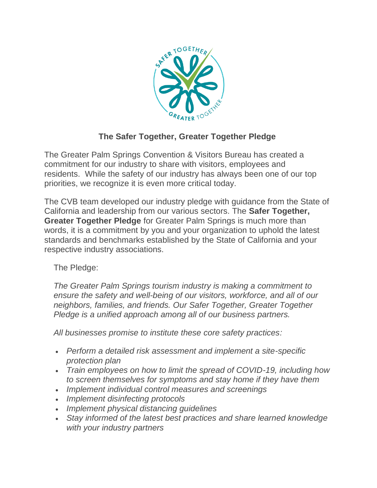

## **The Safer Together, Greater Together Pledge**

The Greater Palm Springs Convention & Visitors Bureau has created a commitment for our industry to share with visitors, employees and residents. While the safety of our industry has always been one of our top priorities, we recognize it is even more critical today.

The CVB team developed our industry pledge with guidance from the State of California and leadership from our various sectors. The **Safer Together, Greater Together Pledge** for Greater Palm Springs is much more than words, it is a commitment by you and your organization to uphold the latest standards and benchmarks established by the State of California and your respective industry associations.

The Pledge:

*The Greater Palm Springs tourism industry is making a commitment to ensure the safety and well-being of our visitors, workforce, and all of our neighbors, families, and friends. Our Safer Together, Greater Together Pledge is a unified approach among all of our business partners.* 

*All businesses promise to institute these core safety practices:* 

- *Perform a detailed risk assessment and implement a site-specific protection plan*
- *Train employees on how to limit the spread of COVID-19, including how to screen themselves for symptoms and stay home if they have them*
- *Implement individual control measures and screenings*
- *Implement disinfecting protocols*
- *Implement physical distancing guidelines*
- *Stay informed of the latest best practices and share learned knowledge with your industry partners*